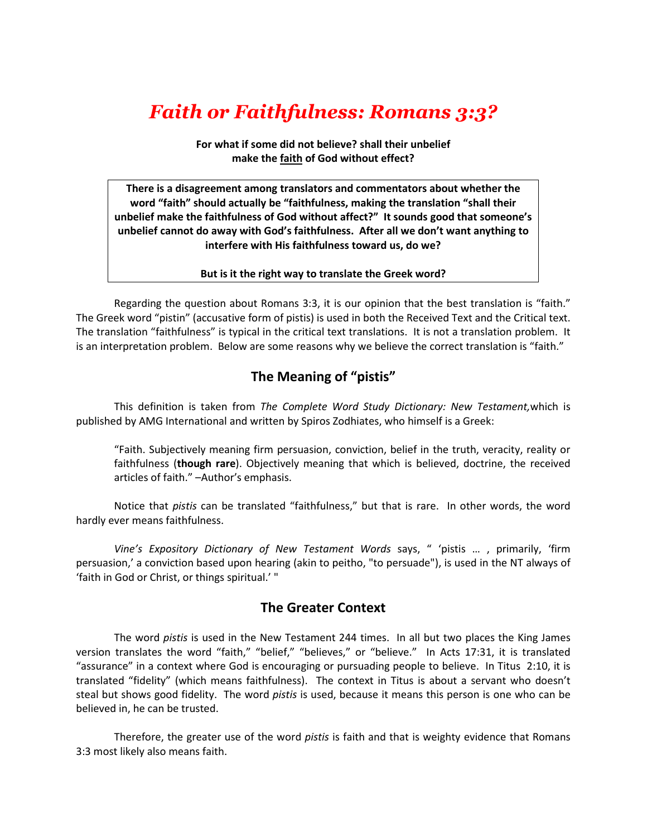# *Faith or Faithfulness: Romans 3:3?*

**For what if some did not believe? shall their unbelief make the faith of God without effect?**

**There is a disagreement among translators and commentators about whether the word "faith" should actually be "faithfulness, making the translation "shall their unbelief make the faithfulness of God without affect?" It sounds good that someone's unbelief cannot do away with God's faithfulness. After all we don't want anything to interfere with His faithfulness toward us, do we?**

#### **But is it the right way to translate the Greek word?**

Regarding the question about Romans 3:3, it is our opinion that the best translation is "faith." The Greek word "pistin" (accusative form of pistis) is used in both the Received Text and the Critical text. The translation "faithfulness" is typical in the critical text translations. It is not a translation problem. It is an interpretation problem. Below are some reasons why we believe the correct translation is "faith."

## **The Meaning of "pistis"**

This definition is taken from *The Complete Word Study Dictionary: New Testament,*which is published by AMG International and written by Spiros Zodhiates, who himself is a Greek:

"Faith. Subjectively meaning firm persuasion, conviction, belief in the truth, veracity, reality or faithfulness (**though rare**). Objectively meaning that which is believed, doctrine, the received articles of faith." –Author's emphasis.

Notice that *pistis* can be translated "faithfulness," but that is rare. In other words, the word hardly ever means faithfulness.

*Vine's Expository Dictionary of New Testament Words* says, " 'pistis … , primarily, 'firm persuasion,' a conviction based upon hearing (akin to peitho, "to persuade"), is used in the NT always of 'faith in God or Christ, or things spiritual.' "

### **The Greater Context**

The word *pistis* is used in the New Testament 244 times. In all but two places the King James version translates the word "faith," "belief," "believes," or "believe." In Acts 17:31, it is translated "assurance" in a context where God is encouraging or pursuading people to believe. In Titus 2:10, it is translated "fidelity" (which means faithfulness). The context in Titus is about a servant who doesn't steal but shows good fidelity. The word *pistis* is used, because it means this person is one who can be believed in, he can be trusted.

Therefore, the greater use of the word *pistis* is faith and that is weighty evidence that Romans 3:3 most likely also means faith.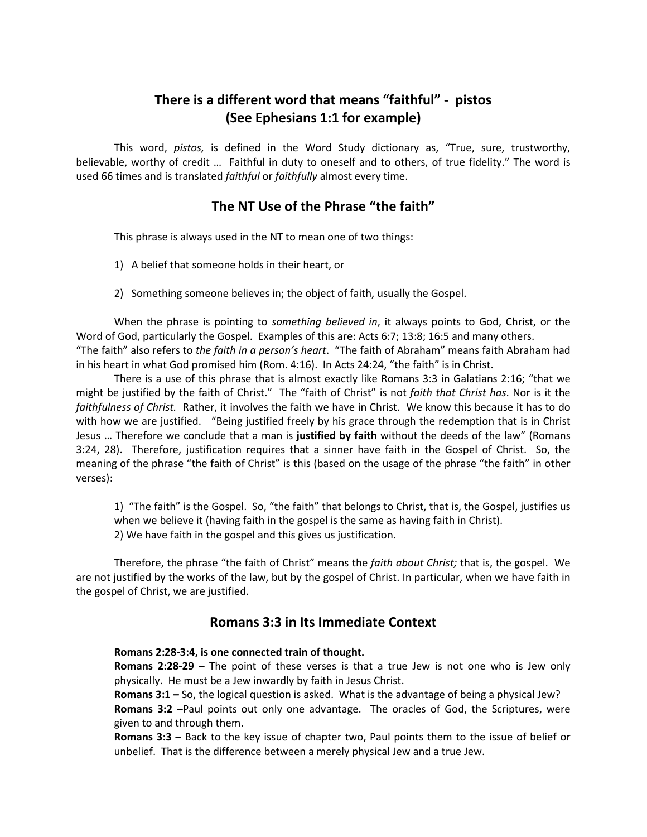# **There is a different word that means "faithful" - pistos (See Ephesians 1:1 for example)**

This word, *pistos,* is defined in the Word Study dictionary as, "True, sure, trustworthy, believable, worthy of credit … Faithful in duty to oneself and to others, of true fidelity." The word is used 66 times and is translated *faithful* or *faithfully* almost every time.

## **The NT Use of the Phrase "the faith"**

This phrase is always used in the NT to mean one of two things:

- 1) A belief that someone holds in their heart, or
- 2) Something someone believes in; the object of faith, usually the Gospel.

When the phrase is pointing to *something believed in*, it always points to God, Christ, or the Word of God, particularly the Gospel. Examples of this are: Acts 6:7; 13:8; 16:5 and many others. "The faith" also refers to *the faith in a person's heart*. "The faith of Abraham" means faith Abraham had in his heart in what God promised him (Rom. 4:16). In Acts 24:24, "the faith" is in Christ.

There is a use of this phrase that is almost exactly like Romans 3:3 in Galatians 2:16; "that we might be justified by the faith of Christ." The "faith of Christ" is not *faith that Christ has*. Nor is it the *faithfulness of Christ.* Rather, it involves the faith we have in Christ. We know this because it has to do with how we are justified. "Being justified freely by his grace through the redemption that is in Christ Jesus … Therefore we conclude that a man is **justified by faith** without the deeds of the law" (Romans 3:24, 28). Therefore, justification requires that a sinner have faith in the Gospel of Christ. So, the meaning of the phrase "the faith of Christ" is this (based on the usage of the phrase "the faith" in other verses):

1) "The faith" is the Gospel. So, "the faith" that belongs to Christ, that is, the Gospel, justifies us when we believe it (having faith in the gospel is the same as having faith in Christ). 2) We have faith in the gospel and this gives us justification.

Therefore, the phrase "the faith of Christ" means the *faith about Christ;* that is, the gospel. We are not justified by the works of the law, but by the gospel of Christ. In particular, when we have faith in the gospel of Christ, we are justified.

### **Romans 3:3 in Its Immediate Context**

### **Romans 2:28-3:4, is one connected train of thought.**

**Romans 2:28-29 –** The point of these verses is that a true Jew is not one who is Jew only physically. He must be a Jew inwardly by faith in Jesus Christ.

**Romans 3:1 –** So, the logical question is asked. What is the advantage of being a physical Jew? **Romans 3:2 –**Paul points out only one advantage. The oracles of God, the Scriptures, were given to and through them.

**Romans 3:3 –** Back to the key issue of chapter two, Paul points them to the issue of belief or unbelief. That is the difference between a merely physical Jew and a true Jew.